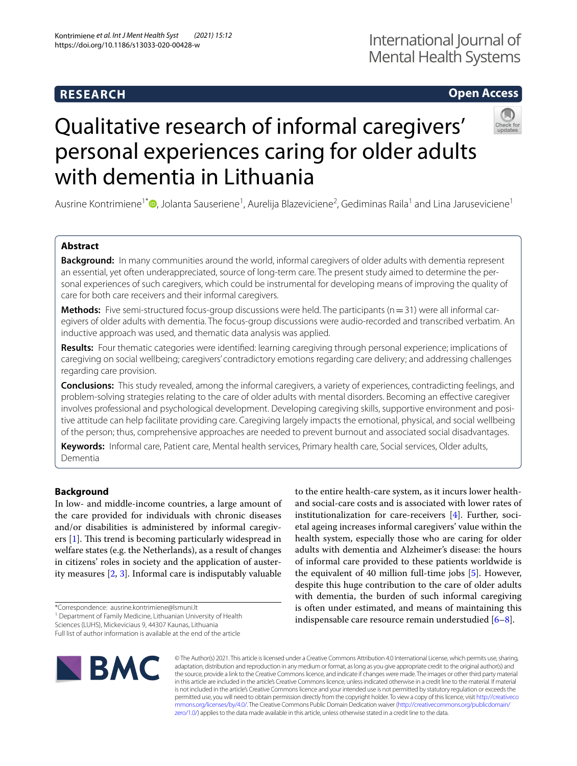### **RESEARCH**

### **Open Access**

# Qualitative research of informal caregivers' personal experiences caring for older adults with dementia in Lithuania

Ausrine Kontrimiene<sup>1\*</sup>®[,](http://orcid.org/0000-0003-2880-2307) Jolanta Sauseriene<sup>1</sup>, Aurelija Blazeviciene<sup>2</sup>, Gediminas Raila<sup>1</sup> and Lina Jaruseviciene<sup>1</sup>

#### **Abstract**

**Background:** In many communities around the world, informal caregivers of older adults with dementia represent an essential, yet often underappreciated, source of long-term care. The present study aimed to determine the personal experiences of such caregivers, which could be instrumental for developing means of improving the quality of care for both care receivers and their informal caregivers.

**Methods:** Five semi-structured focus-group discussions were held. The participants (n=31) were all informal caregivers of older adults with dementia. The focus-group discussions were audio-recorded and transcribed verbatim. An inductive approach was used, and thematic data analysis was applied.

**Results:** Four thematic categories were identifed: learning caregiving through personal experience; implications of caregiving on social wellbeing; caregivers' contradictory emotions regarding care delivery; and addressing challenges regarding care provision.

**Conclusions:** This study revealed, among the informal caregivers, a variety of experiences, contradicting feelings, and problem-solving strategies relating to the care of older adults with mental disorders. Becoming an efective caregiver involves professional and psychological development. Developing caregiving skills, supportive environment and positive attitude can help facilitate providing care. Caregiving largely impacts the emotional, physical, and social wellbeing of the person; thus, comprehensive approaches are needed to prevent burnout and associated social disadvantages.

**Keywords:** Informal care, Patient care, Mental health services, Primary health care, Social services, Older adults, Dementia

#### **Background**

In low- and middle-income countries, a large amount of the care provided for individuals with chronic diseases and/or disabilities is administered by informal caregivers  $[1]$  $[1]$ . This trend is becoming particularly widespread in welfare states (e.g. the Netherlands), as a result of changes in citizens' roles in society and the application of austerity measures [[2,](#page-8-1) [3\]](#page-8-2). Informal care is indisputably valuable

<sup>1</sup> Department of Family Medicine, Lithuanian University of Health

Full list of author information is available at the end of the article



and social-care costs and is associated with lower rates of institutionalization for care-receivers [\[4](#page-8-3)]. Further, societal ageing increases informal caregivers' value within the health system, especially those who are caring for older adults with dementia and Alzheimer's disease: the hours of informal care provided to these patients worldwide is the equivalent of 40 million full-time jobs [\[5](#page-8-4)]. However, despite this huge contribution to the care of older adults with dementia, the burden of such informal caregiving is often under estimated, and means of maintaining this indispensable care resource remain understudied [\[6](#page-8-5)[–8](#page-8-6)].

to the entire health-care system, as it incurs lower health-

© The Author(s) 2021. This article is licensed under a Creative Commons Attribution 4.0 International License, which permits use, sharing, adaptation, distribution and reproduction in any medium or format, as long as you give appropriate credit to the original author(s) and the source, provide a link to the Creative Commons licence, and indicate if changes were made. The images or other third party material in this article are included in the article's Creative Commons licence, unless indicated otherwise in a credit line to the material. If material is not included in the article's Creative Commons licence and your intended use is not permitted by statutory regulation or exceeds the permitted use, you will need to obtain permission directly from the copyright holder. To view a copy of this licence, visit [http://creativeco](http://creativecommons.org/licenses/by/4.0/) [mmons.org/licenses/by/4.0/.](http://creativecommons.org/licenses/by/4.0/) The Creative Commons Public Domain Dedication waiver ([http://creativecommons.org/publicdomain/](http://creativecommons.org/publicdomain/zero/1.0/) [zero/1.0/\)](http://creativecommons.org/publicdomain/zero/1.0/) applies to the data made available in this article, unless otherwise stated in a credit line to the data.

<sup>\*</sup>Correspondence: ausrine.kontrimiene@lsmuni.lt

Sciences (LUHS), Mickeviciaus 9, 44307 Kaunas, Lithuania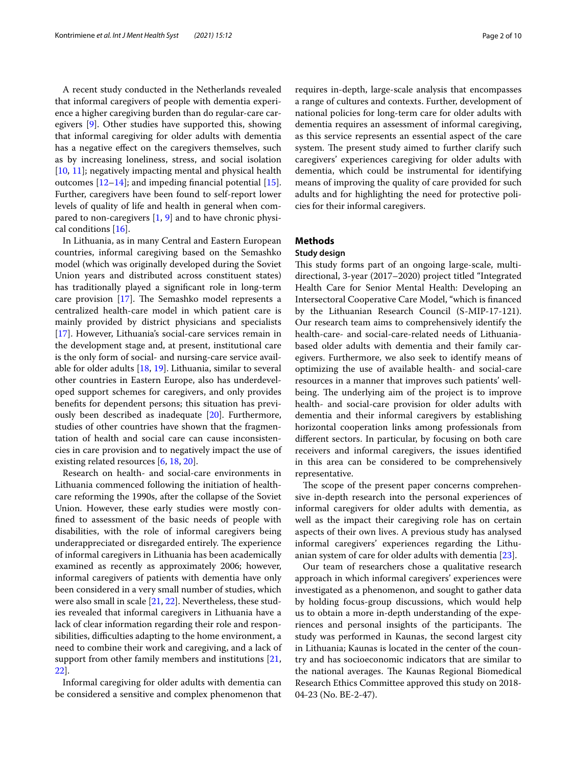A recent study conducted in the Netherlands revealed that informal caregivers of people with dementia experience a higher caregiving burden than do regular-care caregivers [\[9](#page-8-7)]. Other studies have supported this, showing that informal caregiving for older adults with dementia has a negative effect on the caregivers themselves, such as by increasing loneliness, stress, and social isolation [[10,](#page-8-8) [11\]](#page-8-9); negatively impacting mental and physical health outcomes  $[12-14]$  $[12-14]$ ; and impeding financial potential  $[15]$  $[15]$ . Further, caregivers have been found to self-report lower levels of quality of life and health in general when compared to non-caregivers [[1](#page-8-0), [9](#page-8-7)] and to have chronic physical conditions [\[16](#page-8-13)].

In Lithuania, as in many Central and Eastern European countries, informal caregiving based on the Semashko model (which was originally developed during the Soviet Union years and distributed across constituent states) has traditionally played a signifcant role in long-term care provision  $[17]$ . The Semashko model represents a centralized health-care model in which patient care is mainly provided by district physicians and specialists [[17\]](#page-8-14). However, Lithuania's social-care services remain in the development stage and, at present, institutional care is the only form of social- and nursing-care service available for older adults [\[18](#page-8-15), [19\]](#page-8-16). Lithuania, similar to several other countries in Eastern Europe, also has underdeveloped support schemes for caregivers, and only provides benefts for dependent persons; this situation has previously been described as inadequate [\[20](#page-8-17)]. Furthermore, studies of other countries have shown that the fragmentation of health and social care can cause inconsistencies in care provision and to negatively impact the use of existing related resources [[6](#page-8-5), [18,](#page-8-15) [20](#page-8-17)].

Research on health- and social-care environments in Lithuania commenced following the initiation of healthcare reforming the 1990s, after the collapse of the Soviet Union. However, these early studies were mostly confned to assessment of the basic needs of people with disabilities, with the role of informal caregivers being underappreciated or disregarded entirely. The experience of informal caregivers in Lithuania has been academically examined as recently as approximately 2006; however, informal caregivers of patients with dementia have only been considered in a very small number of studies, which were also small in scale [\[21](#page-8-18), [22\]](#page-8-19). Nevertheless, these studies revealed that informal caregivers in Lithuania have a lack of clear information regarding their role and responsibilities, difficulties adapting to the home environment, a need to combine their work and caregiving, and a lack of support from other family members and institutions [\[21](#page-8-18), [22\]](#page-8-19).

Informal caregiving for older adults with dementia can be considered a sensitive and complex phenomenon that requires in-depth, large-scale analysis that encompasses a range of cultures and contexts. Further, development of national policies for long-term care for older adults with dementia requires an assessment of informal caregiving, as this service represents an essential aspect of the care system. The present study aimed to further clarify such caregivers' experiences caregiving for older adults with dementia, which could be instrumental for identifying means of improving the quality of care provided for such adults and for highlighting the need for protective policies for their informal caregivers.

#### **Methods**

#### **Study design**

This study forms part of an ongoing large-scale, multidirectional, 3-year (2017–2020) project titled "Integrated Health Care for Senior Mental Health: Developing an Intersectoral Cooperative Care Model, "which is fnanced by the Lithuanian Research Council (S-MIP-17-121). Our research team aims to comprehensively identify the health-care- and social-care-related needs of Lithuaniabased older adults with dementia and their family caregivers. Furthermore, we also seek to identify means of optimizing the use of available health- and social-care resources in a manner that improves such patients' wellbeing. The underlying aim of the project is to improve health- and social-care provision for older adults with dementia and their informal caregivers by establishing horizontal cooperation links among professionals from diferent sectors. In particular, by focusing on both care receivers and informal caregivers, the issues identifed in this area can be considered to be comprehensively representative.

The scope of the present paper concerns comprehensive in-depth research into the personal experiences of informal caregivers for older adults with dementia, as well as the impact their caregiving role has on certain aspects of their own lives. A previous study has analysed informal caregivers' experiences regarding the Lithuanian system of care for older adults with dementia [[23](#page-8-20)].

Our team of researchers chose a qualitative research approach in which informal caregivers' experiences were investigated as a phenomenon, and sought to gather data by holding focus-group discussions, which would help us to obtain a more in-depth understanding of the experiences and personal insights of the participants. The study was performed in Kaunas, the second largest city in Lithuania; Kaunas is located in the center of the country and has socioeconomic indicators that are similar to the national averages. The Kaunas Regional Biomedical Research Ethics Committee approved this study on 2018- 04-23 (No. BE-2-47).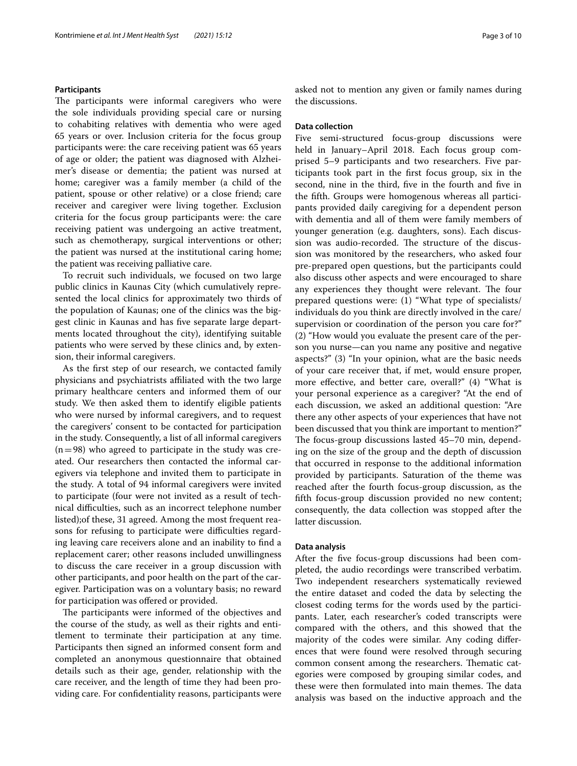#### **Participants**

The participants were informal caregivers who were the sole individuals providing special care or nursing to cohabiting relatives with dementia who were aged 65 years or over. Inclusion criteria for the focus group participants were: the care receiving patient was 65 years of age or older; the patient was diagnosed with Alzheimer's disease or dementia; the patient was nursed at home; caregiver was a family member (a child of the patient, spouse or other relative) or a close friend; care receiver and caregiver were living together. Exclusion criteria for the focus group participants were: the care receiving patient was undergoing an active treatment, such as chemotherapy, surgical interventions or other; the patient was nursed at the institutional caring home; the patient was receiving palliative care.

To recruit such individuals, we focused on two large public clinics in Kaunas City (which cumulatively represented the local clinics for approximately two thirds of the population of Kaunas; one of the clinics was the biggest clinic in Kaunas and has fve separate large departments located throughout the city), identifying suitable patients who were served by these clinics and, by extension, their informal caregivers.

As the frst step of our research, we contacted family physicians and psychiatrists afliated with the two large primary healthcare centers and informed them of our study. We then asked them to identify eligible patients who were nursed by informal caregivers, and to request the caregivers' consent to be contacted for participation in the study. Consequently, a list of all informal caregivers  $(n=98)$  who agreed to participate in the study was created. Our researchers then contacted the informal caregivers via telephone and invited them to participate in the study. A total of 94 informal caregivers were invited to participate (four were not invited as a result of technical difculties, such as an incorrect telephone number listed);of these, 31 agreed. Among the most frequent reasons for refusing to participate were difficulties regarding leaving care receivers alone and an inability to fnd a replacement carer; other reasons included unwillingness to discuss the care receiver in a group discussion with other participants, and poor health on the part of the caregiver. Participation was on a voluntary basis; no reward for participation was ofered or provided.

The participants were informed of the objectives and the course of the study, as well as their rights and entitlement to terminate their participation at any time. Participants then signed an informed consent form and completed an anonymous questionnaire that obtained details such as their age, gender, relationship with the care receiver, and the length of time they had been providing care. For confdentiality reasons, participants were asked not to mention any given or family names during the discussions.

#### **Data collection**

Five semi-structured focus-group discussions were held in January–April 2018. Each focus group comprised 5–9 participants and two researchers. Five participants took part in the frst focus group, six in the second, nine in the third, fve in the fourth and fve in the ffth. Groups were homogenous whereas all participants provided daily caregiving for a dependent person with dementia and all of them were family members of younger generation (e.g. daughters, sons). Each discussion was audio-recorded. The structure of the discussion was monitored by the researchers, who asked four pre-prepared open questions, but the participants could also discuss other aspects and were encouraged to share any experiences they thought were relevant. The four prepared questions were: (1) "What type of specialists/ individuals do you think are directly involved in the care/ supervision or coordination of the person you care for?" (2) "How would you evaluate the present care of the person you nurse—can you name any positive and negative aspects?" (3) "In your opinion, what are the basic needs of your care receiver that, if met, would ensure proper, more efective, and better care, overall?" (4) "What is your personal experience as a caregiver? "At the end of each discussion, we asked an additional question: "Are there any other aspects of your experiences that have not been discussed that you think are important to mention?" The focus-group discussions lasted 45–70 min, depending on the size of the group and the depth of discussion that occurred in response to the additional information provided by participants. Saturation of the theme was reached after the fourth focus-group discussion, as the ffth focus-group discussion provided no new content; consequently, the data collection was stopped after the latter discussion.

#### **Data analysis**

After the five focus-group discussions had been completed, the audio recordings were transcribed verbatim. Two independent researchers systematically reviewed the entire dataset and coded the data by selecting the closest coding terms for the words used by the participants. Later, each researcher's coded transcripts were compared with the others, and this showed that the majority of the codes were similar. Any coding diferences that were found were resolved through securing common consent among the researchers. Thematic categories were composed by grouping similar codes, and these were then formulated into main themes. The data analysis was based on the inductive approach and the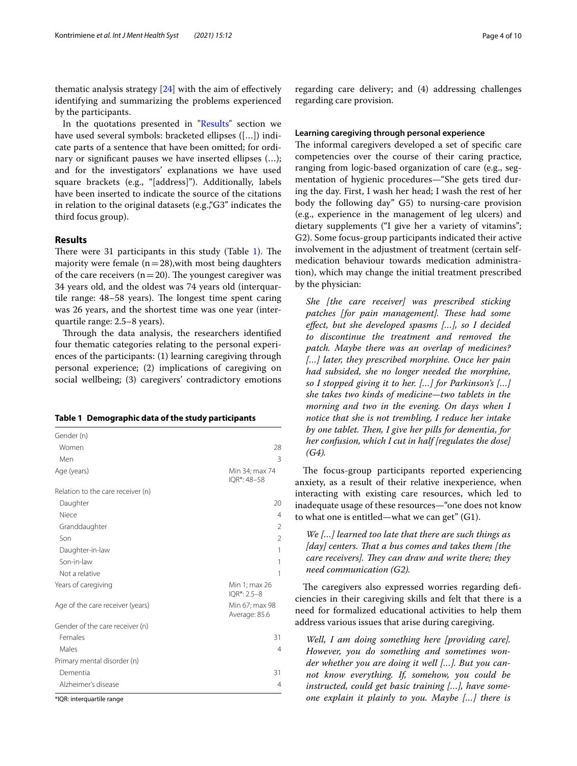thematic analysis strategy  $[24]$  with the aim of effectively identifying and summarizing the problems experienced by the participants.

In the quotations presented in ["Results](#page-3-0)" section we have used several symbols: bracketed ellipses ([…]) indicate parts of a sentence that have been omitted; for ordinary or signifcant pauses we have inserted ellipses (…); and for the investigators' explanations we have used square brackets (e.g., "[address]"). Additionally, labels have been inserted to indicate the source of the citations in relation to the original datasets (e.g.,"G3" indicates the third focus group).

#### <span id="page-3-0"></span>**Results**

There were 31 participants in this study (Table  $1$ ). The majority were female  $(n=28)$ , with most being daughters of the care receivers ( $n=20$ ). The youngest caregiver was 34 years old, and the oldest was 74 years old (interquartile range:  $48-58$  years). The longest time spent caring was 26 years, and the shortest time was one year (interquartile range: 2.5–8 years).

Through the data analysis, the researchers identified four thematic categories relating to the personal experiences of the participants: (1) learning caregiving through personal experience; (2) implications of caregiving on social wellbeing; (3) caregivers' contradictory emotions

<span id="page-3-1"></span>**Table 1 Demographic data of the study participants**

| Gender (n)                        |                                 |
|-----------------------------------|---------------------------------|
| Women                             | 28                              |
| Men                               | 3                               |
| Age (years)                       | Min 34; max 74<br>$IOR*: 48-58$ |
| Relation to the care receiver (n) |                                 |
| Daughter                          | 20                              |
| Niece                             | 4                               |
| Granddaughter                     | $\overline{2}$                  |
| Son                               | 2                               |
| Daughter-in-law                   | 1                               |
| Son-in-law                        | 1                               |
| Not a relative                    | 1                               |
| Years of caregiving               | Min 1; max 26<br>IQR*: 2.5-8    |
| Age of the care receiver (years)  | Min 67; max 98<br>Average: 85.6 |
| Gender of the care receiver (n)   |                                 |
| Females                           | 31                              |
| Males                             | 4                               |
| Primary mental disorder (n)       |                                 |
| Dementia                          | 31                              |
| Alzheimer's disease               | 4                               |
| *IQR: interquartile range         |                                 |

regarding care delivery; and (4) addressing challenges regarding care provision.

#### **Learning caregiving through personal experience**

The informal caregivers developed a set of specific care competencies over the course of their caring practice, ranging from logic-based organization of care (e.g., segmentation of hygienic procedures—"She gets tired during the day. First, I wash her head; I wash the rest of her body the following day" G5) to nursing-care provision (e.g., experience in the management of leg ulcers) and dietary supplements ("I give her a variety of vitamins"; G2). Some focus-group participants indicated their active involvement in the adjustment of treatment (certain selfmedication behaviour towards medication administration), which may change the initial treatment prescribed by the physician:

*She [the care receiver] was prescribed sticking patches [for pain management]. These had some efect, but she developed spasms […], so I decided to discontinue the treatment and removed the patch. Maybe there was an overlap of medicines? […] later, they prescribed morphine. Once her pain had subsided, she no longer needed the morphine, so I stopped giving it to her. […] for Parkinson's […] she takes two kinds of medicine—two tablets in the morning and two in the evening. On days when I notice that she is not trembling, I reduce her intake by one tablet. Then, I give her pills for dementia, for her confusion, which I cut in half [regulates the dose] (G4).*

The focus-group participants reported experiencing anxiety, as a result of their relative inexperience, when interacting with existing care resources, which led to inadequate usage of these resources—"one does not know to what one is entitled—what we can get" (G1).

*We […] learned too late that there are such things as [day] centers. Tat a bus comes and takes them [the care receivers]. They can draw and write there; they need communication (G2).*

The caregivers also expressed worries regarding deficiencies in their caregiving skills and felt that there is a need for formalized educational activities to help them address various issues that arise during caregiving.

*Well, I am doing something here [providing care]. However, you do something and sometimes wonder whether you are doing it well […]. But you cannot know everything. If, somehow, you could be instructed, could get basic training […], have someone explain it plainly to you. Maybe […] there is*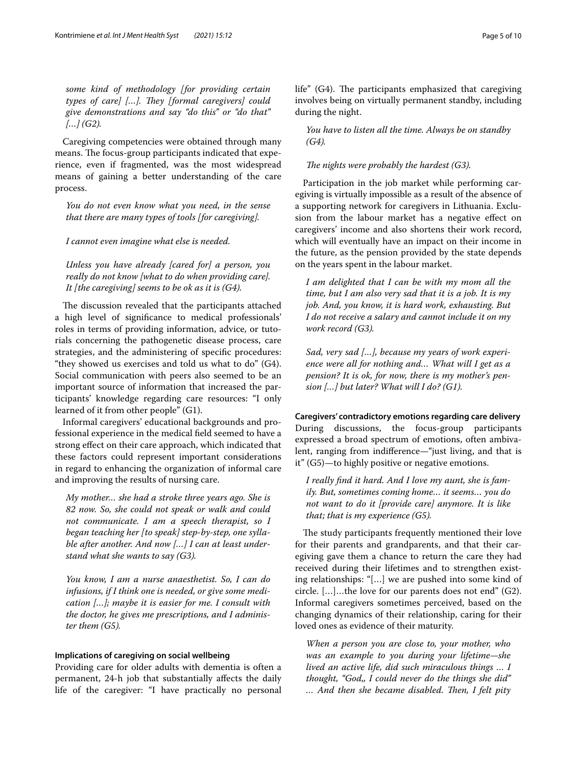*some kind of methodology [for providing certain*  types of care] [...]. They [formal caregivers] could *give demonstrations and say "do this" or "do that" […] (G2).*

Caregiving competencies were obtained through many means. The focus-group participants indicated that experience, even if fragmented, was the most widespread means of gaining a better understanding of the care process.

*You do not even know what you need, in the sense that there are many types of tools [for caregiving].*

*I cannot even imagine what else is needed.*

*Unless you have already [cared for] a person, you really do not know [what to do when providing care]. It [the caregiving] seems to be ok as it is (G4).*

The discussion revealed that the participants attached a high level of signifcance to medical professionals' roles in terms of providing information, advice, or tutorials concerning the pathogenetic disease process, care strategies, and the administering of specifc procedures: "they showed us exercises and told us what to do" (G4). Social communication with peers also seemed to be an important source of information that increased the participants' knowledge regarding care resources: "I only learned of it from other people" (G1).

Informal caregivers' educational backgrounds and professional experience in the medical feld seemed to have a strong efect on their care approach, which indicated that these factors could represent important considerations in regard to enhancing the organization of informal care and improving the results of nursing care.

*My mother… she had a stroke three years ago. She is 82 now. So, she could not speak or walk and could not communicate. I am a speech therapist, so I began teaching her [to speak] step-by-step, one syllable after another. And now […] I can at least understand what she wants to say (G3).*

*You know, I am a nurse anaesthetist. So, I can do infusions, if I think one is needed, or give some medication […]; maybe it is easier for me. I consult with the doctor, he gives me prescriptions, and I administer them (G5).*

#### **Implications of caregiving on social wellbeing**

Providing care for older adults with dementia is often a permanent, 24-h job that substantially afects the daily life of the caregiver: "I have practically no personal life" (G4). The participants emphasized that caregiving involves being on virtually permanent standby, including during the night.

*You have to listen all the time. Always be on standby (G4).*

*The nights were probably the hardest (G3).* 

Participation in the job market while performing caregiving is virtually impossible as a result of the absence of a supporting network for caregivers in Lithuania. Exclusion from the labour market has a negative efect on caregivers' income and also shortens their work record, which will eventually have an impact on their income in the future, as the pension provided by the state depends on the years spent in the labour market.

*I am delighted that I can be with my mom all the time, but I am also very sad that it is a job. It is my job. And, you know, it is hard work, exhausting. But I do not receive a salary and cannot include it on my work record (G3).*

*Sad, very sad […], because my years of work experience were all for nothing and… What will I get as a pension? It is ok, for now, there is my mother's pension […] but later? What will I do? (G1).*

**Caregivers' contradictory emotions regarding care delivery** During discussions, the focus-group participants expressed a broad spectrum of emotions, often ambivalent, ranging from indiference—"just living, and that is it" (G5)—to highly positive or negative emotions.

*I really fnd it hard. And I love my aunt, she is family. But, sometimes coming home… it seems… you do not want to do it [provide care] anymore. It is like that; that is my experience (G5).*

The study participants frequently mentioned their love for their parents and grandparents, and that their caregiving gave them a chance to return the care they had received during their lifetimes and to strengthen existing relationships: "[…] we are pushed into some kind of circle. […]…the love for our parents does not end" (G2). Informal caregivers sometimes perceived, based on the changing dynamics of their relationship, caring for their loved ones as evidence of their maturity.

*When a person you are close to, your mother, who was an example to you during your lifetime—she lived an active life, did such miraculous things … I thought, "God,, I could never do the things she did"*  … And then she became disabled. Then, I felt pity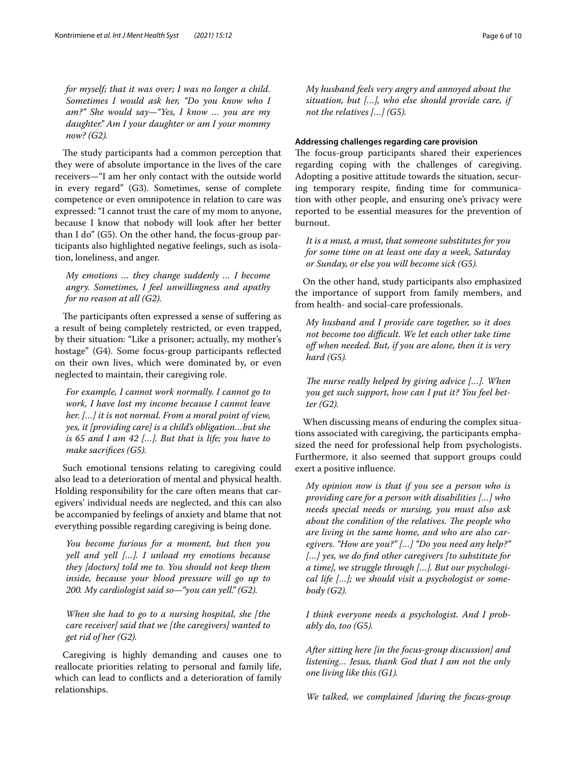*for myself; that it was over; I was no longer a child. Sometimes I would ask her, "Do you know who I am?" She would say—"Yes, I know … you are my daughter." Am I your daughter or am I your mommy now? (G2).*

The study participants had a common perception that they were of absolute importance in the lives of the care receivers—"I am her only contact with the outside world in every regard" (G3). Sometimes, sense of complete competence or even omnipotence in relation to care was expressed: "I cannot trust the care of my mom to anyone, because I know that nobody will look after her better than I do" (G5). On the other hand, the focus-group participants also highlighted negative feelings, such as isolation, loneliness, and anger.

*My emotions … they change suddenly … I become angry. Sometimes, I feel unwillingness and apathy for no reason at all (G2).*

The participants often expressed a sense of suffering as a result of being completely restricted, or even trapped, by their situation: "Like a prisoner; actually, my mother's hostage" (G4). Some focus-group participants refected on their own lives, which were dominated by, or even neglected to maintain, their caregiving role.

*For example, I cannot work normally. I cannot go to work, I have lost my income because I cannot leave her. […] it is not normal. From a moral point of view, yes, it [providing care] is a child's obligation…but she is 65 and I am 42 […]. But that is life; you have to make sacrifces (G5).*

Such emotional tensions relating to caregiving could also lead to a deterioration of mental and physical health. Holding responsibility for the care often means that caregivers' individual needs are neglected, and this can also be accompanied by feelings of anxiety and blame that not everything possible regarding caregiving is being done.

*You become furious for a moment, but then you yell and yell […]. I unload my emotions because they [doctors] told me to. You should not keep them inside, because your blood pressure will go up to 200. My cardiologist said so—"you can yell." (G2).*

*When she had to go to a nursing hospital, she [the care receiver] said that we [the caregivers] wanted to get rid of her (G2).*

Caregiving is highly demanding and causes one to reallocate priorities relating to personal and family life, which can lead to conficts and a deterioration of family relationships.

*My husband feels very angry and annoyed about the situation, but […], who else should provide care, if not the relatives […] (G5).*

#### **Addressing challenges regarding care provision**

The focus-group participants shared their experiences regarding coping with the challenges of caregiving. Adopting a positive attitude towards the situation, securing temporary respite, fnding time for communication with other people, and ensuring one's privacy were reported to be essential measures for the prevention of burnout.

*It is a must, a must, that someone substitutes for you for some time on at least one day a week, Saturday or Sunday, or else you will become sick (G5).*

On the other hand, study participants also emphasized the importance of support from family members, and from health- and social-care professionals.

*My husband and I provide care together, so it does not become too difcult. We let each other take time of when needed. But, if you are alone, then it is very hard (G5).*

*The nurse really helped by giving advice [...]. When you get such support, how can I put it? You feel better (G2).*

When discussing means of enduring the complex situations associated with caregiving, the participants emphasized the need for professional help from psychologists. Furthermore, it also seemed that support groups could exert a positive infuence.

*My opinion now is that if you see a person who is providing care for a person with disabilities […] who needs special needs or nursing, you must also ask about the condition of the relatives. The people who are living in the same home, and who are also caregivers. "How are you?" […] "Do you need any help?" […] yes, we do fnd other caregivers [to substitute for a time], we struggle through […]. But our psychological life […]; we should visit a psychologist or somebody (G2).*

*I think everyone needs a psychologist. And I probably do, too (G5).*

*After sitting here [in the focus-group discussion] and listening… Jesus, thank God that I am not the only one living like this (G1).*

*We talked, we complained [during the focus-group*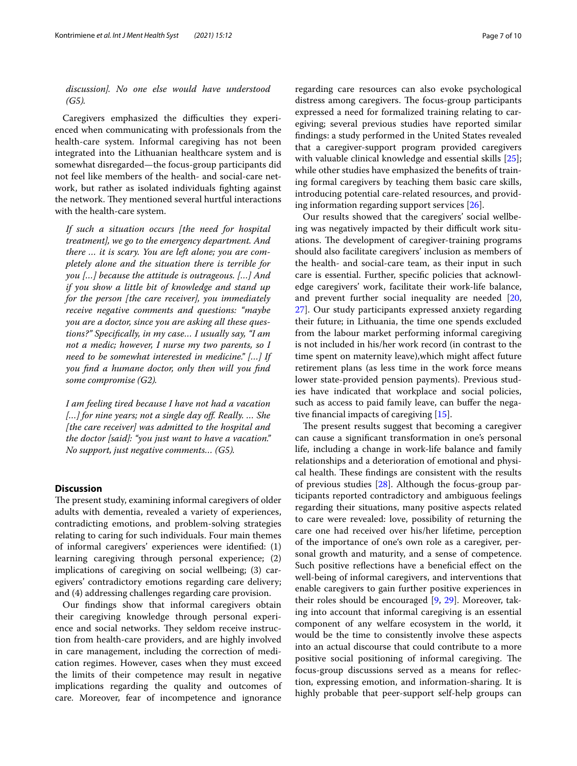#### *discussion]. No one else would have understood (G5).*

Caregivers emphasized the difficulties they experienced when communicating with professionals from the health-care system. Informal caregiving has not been integrated into the Lithuanian healthcare system and is somewhat disregarded—the focus-group participants did not feel like members of the health- and social-care network, but rather as isolated individuals fghting against the network. They mentioned several hurtful interactions with the health-care system.

*If such a situation occurs [the need for hospital treatment], we go to the emergency department. And there … it is scary. You are left alone; you are completely alone and the situation there is terrible for you […] because the attitude is outrageous. […] And if you show a little bit of knowledge and stand up for the person [the care receiver], you immediately receive negative comments and questions: "maybe you are a doctor, since you are asking all these questions?" Specifcally, in my case… I usually say, "I am not a medic; however, I nurse my two parents, so I need to be somewhat interested in medicine." […] If you fnd a humane doctor, only then will you fnd some compromise (G2).*

*I am feeling tired because I have not had a vacation […] for nine years; not a single day of. Really. … She [the care receiver] was admitted to the hospital and the doctor [said]: "you just want to have a vacation." No support, just negative comments… (G5).*

#### **Discussion**

The present study, examining informal caregivers of older adults with dementia, revealed a variety of experiences, contradicting emotions, and problem-solving strategies relating to caring for such individuals. Four main themes of informal caregivers' experiences were identifed: (1) learning caregiving through personal experience; (2) implications of caregiving on social wellbeing; (3) caregivers' contradictory emotions regarding care delivery; and (4) addressing challenges regarding care provision.

Our fndings show that informal caregivers obtain their caregiving knowledge through personal experience and social networks. They seldom receive instruction from health-care providers, and are highly involved in care management, including the correction of medication regimes. However, cases when they must exceed the limits of their competence may result in negative implications regarding the quality and outcomes of care. Moreover, fear of incompetence and ignorance regarding care resources can also evoke psychological distress among caregivers. The focus-group participants expressed a need for formalized training relating to caregiving; several previous studies have reported similar fndings: a study performed in the United States revealed that a caregiver-support program provided caregivers with valuable clinical knowledge and essential skills [\[25](#page-9-1)]; while other studies have emphasized the benefts of training formal caregivers by teaching them basic care skills, introducing potential care-related resources, and providing information regarding support services [[26\]](#page-9-2).

Our results showed that the caregivers' social wellbeing was negatively impacted by their difficult work situations. The development of caregiver-training programs should also facilitate caregivers' inclusion as members of the health- and social-care team, as their input in such care is essential. Further, specifc policies that acknowledge caregivers' work, facilitate their work-life balance, and prevent further social inequality are needed [[20](#page-8-17), [27\]](#page-9-3). Our study participants expressed anxiety regarding their future; in Lithuania, the time one spends excluded from the labour market performing informal caregiving is not included in his/her work record (in contrast to the time spent on maternity leave),which might afect future retirement plans (as less time in the work force means lower state-provided pension payments). Previous studies have indicated that workplace and social policies, such as access to paid family leave, can buffer the negative fnancial impacts of caregiving [[15](#page-8-12)].

The present results suggest that becoming a caregiver can cause a signifcant transformation in one's personal life, including a change in work-life balance and family relationships and a deterioration of emotional and physical health. These findings are consistent with the results of previous studies [[28](#page-9-4)]. Although the focus-group participants reported contradictory and ambiguous feelings regarding their situations, many positive aspects related to care were revealed: love, possibility of returning the care one had received over his/her lifetime, perception of the importance of one's own role as a caregiver, personal growth and maturity, and a sense of competence. Such positive reflections have a beneficial effect on the well-being of informal caregivers, and interventions that enable caregivers to gain further positive experiences in their roles should be encouraged [\[9](#page-8-7), [29\]](#page-9-5). Moreover, taking into account that informal caregiving is an essential component of any welfare ecosystem in the world, it would be the time to consistently involve these aspects into an actual discourse that could contribute to a more positive social positioning of informal caregiving. The focus-group discussions served as a means for refection, expressing emotion, and information-sharing. It is highly probable that peer-support self-help groups can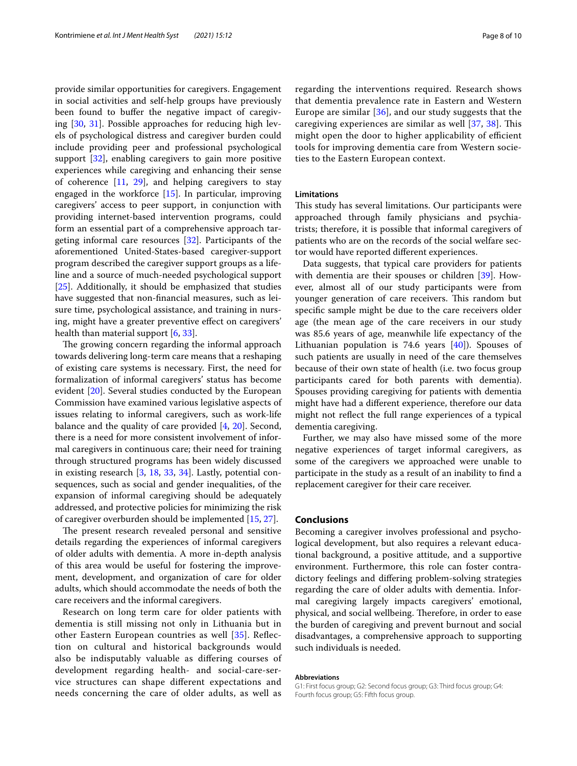provide similar opportunities for caregivers. Engagement in social activities and self-help groups have previously been found to buffer the negative impact of caregiving [\[30](#page-9-6), [31\]](#page-9-7). Possible approaches for reducing high levels of psychological distress and caregiver burden could include providing peer and professional psychological support [[32\]](#page-9-8), enabling caregivers to gain more positive experiences while caregiving and enhancing their sense of coherence [\[11](#page-8-9), [29\]](#page-9-5), and helping caregivers to stay engaged in the workforce [\[15\]](#page-8-12). In particular, improving caregivers' access to peer support, in conjunction with providing internet-based intervention programs, could form an essential part of a comprehensive approach targeting informal care resources [[32\]](#page-9-8). Participants of the aforementioned United-States-based caregiver-support program described the caregiver support groups as a lifeline and a source of much-needed psychological support [[25\]](#page-9-1). Additionally, it should be emphasized that studies have suggested that non-fnancial measures, such as leisure time, psychological assistance, and training in nursing, might have a greater preventive effect on caregivers' health than material support [[6,](#page-8-5) [33](#page-9-9)].

The growing concern regarding the informal approach towards delivering long-term care means that a reshaping of existing care systems is necessary. First, the need for formalization of informal caregivers' status has become evident [\[20](#page-8-17)]. Several studies conducted by the European Commission have examined various legislative aspects of issues relating to informal caregivers, such as work-life balance and the quality of care provided [[4,](#page-8-3) [20\]](#page-8-17). Second, there is a need for more consistent involvement of informal caregivers in continuous care; their need for training through structured programs has been widely discussed in existing research [[3,](#page-8-2) [18,](#page-8-15) [33](#page-9-9), [34](#page-9-10)]. Lastly, potential consequences, such as social and gender inequalities, of the expansion of informal caregiving should be adequately addressed, and protective policies for minimizing the risk of caregiver overburden should be implemented [[15,](#page-8-12) [27](#page-9-3)].

The present research revealed personal and sensitive details regarding the experiences of informal caregivers of older adults with dementia. A more in-depth analysis of this area would be useful for fostering the improvement, development, and organization of care for older adults, which should accommodate the needs of both the care receivers and the informal caregivers.

Research on long term care for older patients with dementia is still missing not only in Lithuania but in other Eastern European countries as well [[35](#page-9-11)]. Refection on cultural and historical backgrounds would also be indisputably valuable as difering courses of development regarding health- and social-care-service structures can shape diferent expectations and needs concerning the care of older adults, as well as regarding the interventions required. Research shows that dementia prevalence rate in Eastern and Western Europe are similar  $[36]$ , and our study suggests that the caregiving experiences are similar as well  $[37, 38]$  $[37, 38]$  $[37, 38]$  $[37, 38]$  $[37, 38]$ . This might open the door to higher applicability of efficient tools for improving dementia care from Western societies to the Eastern European context.

#### **Limitations**

This study has several limitations. Our participants were approached through family physicians and psychiatrists; therefore, it is possible that informal caregivers of patients who are on the records of the social welfare sector would have reported diferent experiences.

Data suggests, that typical care providers for patients with dementia are their spouses or children [\[39](#page-9-15)]. However, almost all of our study participants were from younger generation of care receivers. This random but specifc sample might be due to the care receivers older age (the mean age of the care receivers in our study was 85.6 years of age, meanwhile life expectancy of the Lithuanian population is 74.6 years [\[40](#page-9-16)]). Spouses of such patients are usually in need of the care themselves because of their own state of health (i.e. two focus group participants cared for both parents with dementia). Spouses providing caregiving for patients with dementia might have had a diferent experience, therefore our data might not refect the full range experiences of a typical dementia caregiving.

Further, we may also have missed some of the more negative experiences of target informal caregivers, as some of the caregivers we approached were unable to participate in the study as a result of an inability to fnd a replacement caregiver for their care receiver.

#### **Conclusions**

Becoming a caregiver involves professional and psychological development, but also requires a relevant educational background, a positive attitude, and a supportive environment. Furthermore, this role can foster contradictory feelings and difering problem-solving strategies regarding the care of older adults with dementia. Informal caregiving largely impacts caregivers' emotional, physical, and social wellbeing. Therefore, in order to ease the burden of caregiving and prevent burnout and social disadvantages, a comprehensive approach to supporting such individuals is needed.

#### **Abbreviations**

G1: First focus group; G2: Second focus group; G3: Third focus group; G4: Fourth focus group; G5: Fifth focus group.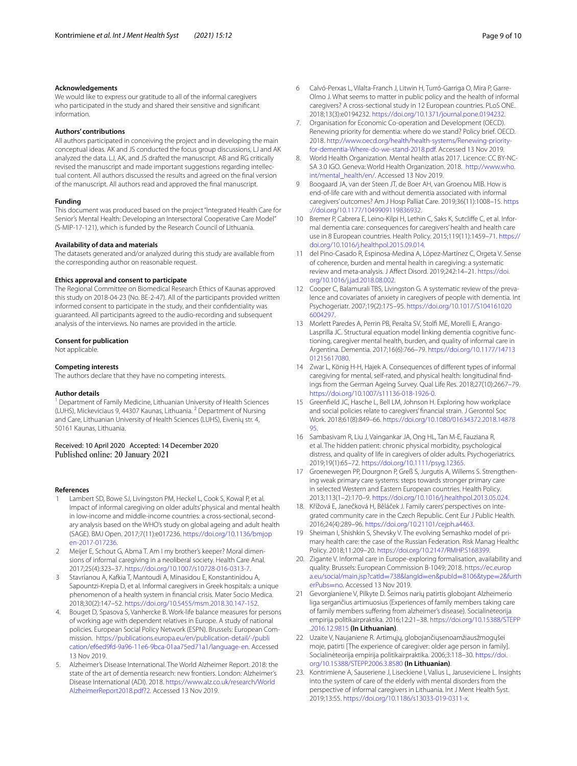#### **Acknowledgements**

We would like to express our gratitude to all of the informal caregivers who participated in the study and shared their sensitive and signifcant information.

#### **Authors' contributions**

All authors participated in conceiving the project and in developing the main conceptual ideas. AK and JS conducted the focus group discussions, LJ and AK analyzed the data. LJ, AK, and JS drafted the manuscript. AB and RG critically revised the manuscript and made important suggestions regarding intellectual content. All authors discussed the results and agreed on the fnal version of the manuscript. All authors read and approved the fnal manuscript.

#### **Funding**

This document was produced based on the project "Integrated Health Care for Senior's Mental Health: Developing an Intersectoral Cooperative Care Model" (S-MIP-17-121), which is funded by the Research Council of Lithuania.

#### **Availability of data and materials**

The datasets generated and/or analyzed during this study are available from the corresponding author on reasonable request.

#### **Ethics approval and consent to participate**

The Regional Committee on Biomedical Research Ethics of Kaunas approved this study on 2018-04-23 (No. BE-2-47). All of the participants provided written informed consent to participate in the study, and their confdentiality was guaranteed. All participants agreed to the audio-recording and subsequent analysis of the interviews. No names are provided in the article.

#### **Consent for publication**

Not applicable.

#### **Competing interests**

The authors declare that they have no competing interests.

#### **Author details**

<sup>1</sup> Department of Family Medicine, Lithuanian University of Health Sciences (LUHS), Mickeviciaus 9, 44307 Kaunas, Lithuania. <sup>2</sup> Department of Nursing and Care, Lithuanian University of Health Sciences (LUHS), Eivenių str. 4, 50161 Kaunas, Lithuania.

## Received: 10 April 2020 Accepted: 14 December 2020

#### **References**

- <span id="page-8-0"></span>Lambert SD, Bowe SJ, Livingston PM, Heckel L, Cook S, Kowal P, et al. Impact of informal caregiving on older adults' physical and mental health in low-income and middle-income countries: a cross-sectional, secondary analysis based on the WHO's study on global ageing and adult health (SAGE). BMJ Open. 2017;7(11):e017236. [https://doi.org/10.1136/bmjop](https://doi.org/10.1136/bmjopen-2017-017236) [en-2017-017236](https://doi.org/10.1136/bmjopen-2017-017236).
- <span id="page-8-1"></span>2 Meijer E, Schout G, Abma T. Am I my brother's keeper? Moral dimensions of informal caregiving in a neoliberal society. Health Care Anal. 2017;25(4):323–37. [https://doi.org/10.1007/s10728-016-0313-7.](https://doi.org/10.1007/s10728-016-0313-7)
- <span id="page-8-2"></span>Stavrianou A, Kafkia T, Mantoudi A, Minasidou E, Konstantinidou A, Sapountzi-Krepia D, et al. Informal caregivers in Greek hospitals: a unique phenomenon of a health system in fnancial crisis. Mater Socio Medica. 2018;30(2):147–52. [https://doi.org/10.5455/msm.2018.30.147-152.](https://doi.org/10.5455/msm.2018.30.147-152)
- <span id="page-8-3"></span>4. Bouget D, Spasova S, Vanhercke B. Work-life balance measures for persons of working age with dependent relatives in Europe. A study of national policies. European Social Policy Network (ESPN). Brussels: European Commission. [https://publications.europa.eu/en/publication-detail/-/publi](https://publications.europa.eu/en/publication-detail/-/publication/ef6ed9fd-9a96-11e6-9bca-01aa75ed71a1/language-en) [cation/ef6ed9fd-9a96-11e6-9bca-01aa75ed71a1/language-en.](https://publications.europa.eu/en/publication-detail/-/publication/ef6ed9fd-9a96-11e6-9bca-01aa75ed71a1/language-en) Accessed 13 Nov 2019.
- <span id="page-8-4"></span>5. Alzheimer's Disease International. The World Alzheimer Report. 2018: the state of the art of dementia research: new frontiers. London: Alzheimer's Disease International (ADI). 2018. [https://www.alz.co.uk/research/World](https://www.alz.co.uk/research/WorldAlzheimerReport2018.pdf?2) [AlzheimerReport2018.pdf?2.](https://www.alz.co.uk/research/WorldAlzheimerReport2018.pdf?2) Accessed 13 Nov 2019.
- <span id="page-8-5"></span>6 Calvó-Perxas L, Vilalta-Franch J, Litwin H, Turró-Garriga O, Mira P, Garre-Olmo J. What seems to matter in public policy and the health of informal caregivers? A cross-sectional study in 12 European countries. PLoS ONE. 2018;13(3):e0194232. [https://doi.org/10.1371/journal.pone.0194232.](https://doi.org/10.1371/journal.pone.0194232)
- 7. Organisation for Economic Co-operation and Development (OECD). Renewing priority for dementia: where do we stand? Policy brief. OECD. 2018. [http://www.oecd.org/health/health-systems/Renewing-priority](http://www.oecd.org/health/health-systems/Renewing-priority-for-dementia-Where-do-we-stand-2018.pdf)[for-dementia-Where-do-we-stand-2018.pdf.](http://www.oecd.org/health/health-systems/Renewing-priority-for-dementia-Where-do-we-stand-2018.pdf) Accessed 13 Nov 2019.
- <span id="page-8-6"></span>8. World Health Organization. Mental health atlas 2017. Licence: CC BY-NC-SA 3.0 IGO. Geneva: World Health Organization. 2018. [http://www.who.](http://www.who.int/mental_health/en/) [int/mental\\_health/en/](http://www.who.int/mental_health/en/). Accessed 13 Nov 2019.
- <span id="page-8-7"></span>9 Boogaard JA, van der Steen JT, de Boer AH, van Groenou MIB. How is end-of-life care with and without dementia associated with informal caregivers' outcomes? Am J Hosp Palliat Care. 2019;36(11):1008–15. [https](https://doi.org/10.1177/1049909119836932) [://doi.org/10.1177/1049909119836932.](https://doi.org/10.1177/1049909119836932)
- <span id="page-8-8"></span>10 Bremer P, Cabrera E, Leino-Kilpi H, Lethin C, Saks K, Sutclife C, et al. Informal dementia care: consequences for caregivers' health and health care use in 8 European countries. Health Policy. 2015;119(11):1459–71. [https://](https://doi.org/10.1016/j.healthpol.2015.09.014) [doi.org/10.1016/j.healthpol.2015.09.014.](https://doi.org/10.1016/j.healthpol.2015.09.014)
- <span id="page-8-9"></span>11 del Pino-Casado R, Espinosa-Medina A, López-Martínez C, Orgeta V. Sense of coherence, burden and mental health in caregiving: a systematic review and meta-analysis. J Afect Disord. 2019;242:14–21. [https://doi.](https://doi.org/10.1016/j.jad.2018.08.002) [org/10.1016/j.jad.2018.08.002](https://doi.org/10.1016/j.jad.2018.08.002).
- <span id="page-8-10"></span>12 Cooper C, Balamurali TBS, Livingston G. A systematic review of the prevalence and covariates of anxiety in caregivers of people with dementia. Int Psychogeriatr. 2007;19(2):175–95. [https://doi.org/10.1017/S104161020](https://doi.org/10.1017/S1041610206004297) [6004297](https://doi.org/10.1017/S1041610206004297).
- 13 Morlett Paredes A, Perrin PB, Peralta SV, Stolf ME, Morelli E, Arango-Lasprilla JC. Structural equation model linking dementia cognitive functioning, caregiver mental health, burden, and quality of informal care in Argentina. Dementia. 2017;16(6):766–79. [https://doi.org/10.1177/14713](https://doi.org/10.1177/1471301215617080) [01215617080.](https://doi.org/10.1177/1471301215617080)
- <span id="page-8-11"></span>14 Zwar L, König H-H, Hajek A. Consequences of diferent types of informal caregiving for mental, self-rated, and physical health: longitudinal fndings from the German Ageing Survey. Qual Life Res. 2018;27(10):2667–79. [https://doi.org/10.1007/s11136-018-1926-0.](https://doi.org/10.1007/s11136-018-1926-0)
- <span id="page-8-12"></span>15 Greenfeld JC, Hasche L, Bell LM, Johnson H. Exploring how workplace and social policies relate to caregivers' fnancial strain. J Gerontol Soc Work. 2018;61(8):849–66. [https://doi.org/10.1080/01634372.2018.14878](https://doi.org/10.1080/01634372.2018.1487895) [95](https://doi.org/10.1080/01634372.2018.1487895).
- <span id="page-8-13"></span>16 Sambasivam R, Liu J, Vaingankar JA, Ong HL, Tan M-E, Fauziana R, et al. The hidden patient: chronic physical morbidity, psychological distress, and quality of life in caregivers of older adults. Psychogeriatrics. 2019;19(1):65–72. [https://doi.org/10.1111/psyg.12365.](https://doi.org/10.1111/psyg.12365)
- <span id="page-8-14"></span>17 Groenewegen PP, Dourgnon P, Greß S, Jurgutis A, Willems S. Strengthening weak primary care systems: steps towards stronger primary care in selected Western and Eastern European countries. Health Policy. 2013;113(1–2):170–9.<https://doi.org/10.1016/j.healthpol.2013.05.024>.
- <span id="page-8-15"></span>18. Křížová E, Janečková H, Běláček J. Family carers' perspectives on integrated community care in the Czech Republic. Cent Eur J Public Health. 2016;24(4):289–96. [https://doi.org/10.21101/cejph.a4463.](https://doi.org/10.21101/cejph.a4463)
- <span id="page-8-16"></span>19 Sheiman I, Shishkin S, Shevsky V. The evolving Semashko model of primary health care: the case of the Russian Federation. Risk Manag Healthc Policy. 2018;11:209–20.<https://doi.org/10.2147/RMHP.S168399>.
- <span id="page-8-17"></span>20. Zigante V. Informal care in Europe-exploring formalisation, availability and quality. Brussels: European Commission B-1049; 2018. [https://ec.europ](https://ec.europa.eu/social/main.jsp?catId=738&langId=en&pubId=8106&type=2&furtherPubs=no) [a.eu/social/main.jsp?catId](https://ec.europa.eu/social/main.jsp?catId=738&langId=en&pubId=8106&type=2&furtherPubs=no)=738&langId=en&pubId=8106&type=2&furth [erPubs](https://ec.europa.eu/social/main.jsp?catId=738&langId=en&pubId=8106&type=2&furtherPubs=no)=no. Accessed 13 Nov 2019.
- <span id="page-8-18"></span>21 Gevorgianiene V, Pilkyte D. Šeimos narių patirtis globojant Alzheimerio liga sergančius artimuosius (Experiences of family members taking care of family members sufering from alzheimer's disease). Socialinėteorija empirija politikairpraktika. 2016;12:21–38. [https://doi.org/10.15388/STEPP](https://doi.org/10.15388/STEPP.2016.12.9815) [.2016.12.9815](https://doi.org/10.15388/STEPP.2016.12.9815) **(In Lithuanian)**.
- <span id="page-8-19"></span>22 Uzaite V, Naujaniene R. Artimųjų, globojančiųsenoamžiausžmogųšei moje, patirti [The experience of caregiver: older age person in family]. Socialinėteorija empirija politikairpraktika. 2006;3:118–30. [https://doi.](https://doi.org/10.15388/STEPP.2006.3.8580) [org/10.15388/STEPP.2006.3.8580](https://doi.org/10.15388/STEPP.2006.3.8580) **(In Lithuanian)**.
- <span id="page-8-20"></span>23. Kontrimiene A, Sauseriene J, Liseckiene I, Valius L, Jaruseviciene L. Insights into the system of care of the elderly with mental disorders from the perspective of informal caregivers in Lithuania. Int J Ment Health Syst. 2019;13:55. <https://doi.org/10.1186/s13033-019-0311-x>.